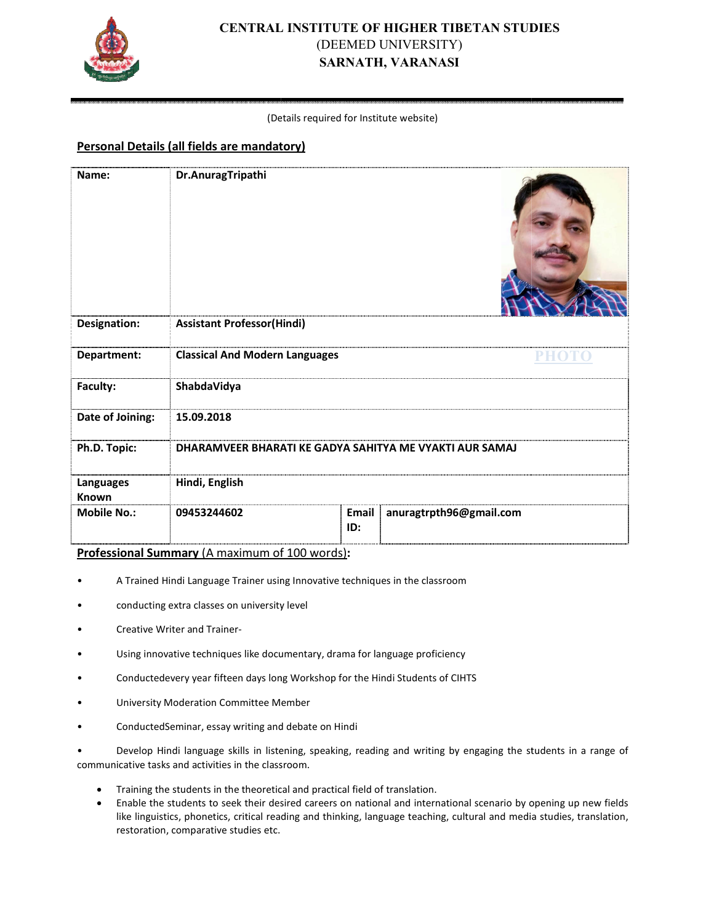

# **CENTRAL INSTITUTE OF HIGHER TIBETAN STUDIES** (DEEMED UNIVERSITY) **SARNATH, VARANASI**

#### (Det Details required for Institute website)

## **Personal Details (all fields are mandatory)**

| Name:                                                                                                                                                                    | Dr.AnuragTripathi                                                                                                                                                                                                                                                                                                                                                     |                     |                         |  |
|--------------------------------------------------------------------------------------------------------------------------------------------------------------------------|-----------------------------------------------------------------------------------------------------------------------------------------------------------------------------------------------------------------------------------------------------------------------------------------------------------------------------------------------------------------------|---------------------|-------------------------|--|
| <b>Designation:</b>                                                                                                                                                      | <b>Assistant Professor(Hindi)</b>                                                                                                                                                                                                                                                                                                                                     |                     |                         |  |
| Department:                                                                                                                                                              | <b>Classical And Modern Languages</b>                                                                                                                                                                                                                                                                                                                                 |                     | PHOTO                   |  |
| Faculty:                                                                                                                                                                 | ShabdaVidya                                                                                                                                                                                                                                                                                                                                                           |                     |                         |  |
| Date of Joining:                                                                                                                                                         | 15.09.2018                                                                                                                                                                                                                                                                                                                                                            |                     |                         |  |
| Ph.D. Topic:                                                                                                                                                             | DHARAMVEER BHARATI KE GADYA SAHITYA ME VYAKTI AUR SAMAJ                                                                                                                                                                                                                                                                                                               |                     |                         |  |
| Languages<br><b>Known</b>                                                                                                                                                | Hindi, English                                                                                                                                                                                                                                                                                                                                                        |                     |                         |  |
| <b>Mobile No.:</b>                                                                                                                                                       | 09453244602                                                                                                                                                                                                                                                                                                                                                           | <b>Email</b><br>ID: | anuragtrpth96@gmail.com |  |
| Professional Summary (A maximum of 100 words):                                                                                                                           |                                                                                                                                                                                                                                                                                                                                                                       |                     |                         |  |
| A Trained Hindi Language Trainer using Innovative techniques in the classroom                                                                                            |                                                                                                                                                                                                                                                                                                                                                                       |                     |                         |  |
| conducting extra classes on university level                                                                                                                             |                                                                                                                                                                                                                                                                                                                                                                       |                     |                         |  |
|                                                                                                                                                                          | Creative Writer and Trainer-                                                                                                                                                                                                                                                                                                                                          |                     |                         |  |
|                                                                                                                                                                          | Using innovative techniques like documentary, drama for language proficiency                                                                                                                                                                                                                                                                                          |                     |                         |  |
|                                                                                                                                                                          | Conductedevery year fifteen days long Workshop for the Hindi Students of CIHTS                                                                                                                                                                                                                                                                                        |                     |                         |  |
|                                                                                                                                                                          | <b>University Moderation Committee Member</b>                                                                                                                                                                                                                                                                                                                         |                     |                         |  |
|                                                                                                                                                                          | ConductedSeminar, essay writing and debate on Hindi                                                                                                                                                                                                                                                                                                                   |                     |                         |  |
| Develop Hindi language skills in listening, speaking, reading and writing by engaging the students in a range of<br>communicative tasks and activities in the classroom. |                                                                                                                                                                                                                                                                                                                                                                       |                     |                         |  |
|                                                                                                                                                                          | Training the students in the theoretical and practical field of translation.<br>Enable the students to seek their desired careers on national and international scenario by opening up new fields<br>like linguistics, phonetics, critical reading and thinking, language teaching, cultural and media studies, translation,<br>restoration, comparative studies etc. |                     |                         |  |

- A Trained Hindi Language Trainer using Innovative techniques in the classroom
- conducting extra classes on university level
- Creative Writer and Trainer-
- Using innovative techniques like documentary, drama for language proficiency
- Conductedevery year fifteen days long Workshop for the Hindi Students of CIHTS
- University Moderation Committee Me Member
- ConductedSeminar, essay writing and debate on Hindi
- Develop Hindi language skills in listening, speaking, reading and writing by engaging the students in a range of communicative tasks and activities in the classroom.
	- Training the students in the theoretical and practical field of translation.
	- Enable the students to seek their desired careers on national and international scenario by opening up new fields like linguistics, phonetics, critical reading and thinking, language teaching, cultural and media studies, translation, restoration, comparative studies etc.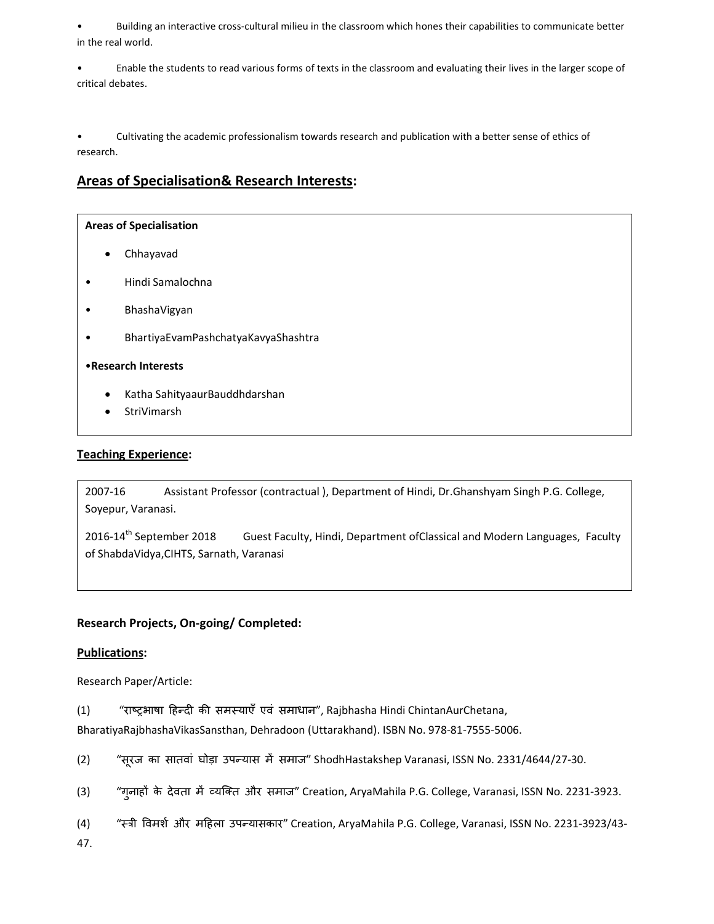• Building an interactive cross-cultural milieu in the classroom which hones their capabilities to communicate better in the real world.

• Enable the students to read various forms of texts in the classroom and evaluating their lives in the larger scope of critical debates.

• Cultivating the academic professionalism towards research and publication with a better sense of ethics of research.

## **Areas of Specialisation& Research Interests:**

#### **Areas of Specialisation**

- Chhayavad
- Hindi Samalochna
- BhashaVigyan
- BhartiyaEvamPashchatyaKavyaShashtra

#### •**Research Interests**

- Katha SahityaaurBauddhdarshan
- **StriVimarsh**

### **Teaching Experience:**

2007-16 Assistant Professor (contractual ), Department of Hindi, Dr.Ghanshyam Singh P.G. College, Soyepur, Varanasi.

2016-14<sup>th</sup> September 2018 Guest Faculty, Hindi, Department of Classical and Modern Languages, Faculty of ShabdaVidya,CIHTS, Sarnath, Varanasi

## **Research Projects, On-going/ Completed:**

#### **Publications:**

Research Paper/Article:

(1) "राष्ट्रभाषा हिन्दी की समस्याएँ एवं समाधान", Rajbhasha Hindi ChintanAurChetana,

BharatiyaRajbhashaVikasSansthan, Dehradoon (Uttarakhand). ISBN No. 978-81-7555-5006.

- (2) "सूरज का सातवां घोड़ा उपन्यास में समाज" ShodhHastakshep Varanasi, ISSN No. 2331/4644/27-30.
- (3) "गुनाहों के देवता में व्यक्ति और समाज" Creation, AryaMahila P.G. College, Varanasi, ISSN No. 2231-3923.
- (4) "स्त्री विमर्श और महिला उपन्यासकार" Creation, AryaMahila P.G. College, Varanasi, ISSN No. 2231-3923/43-

47.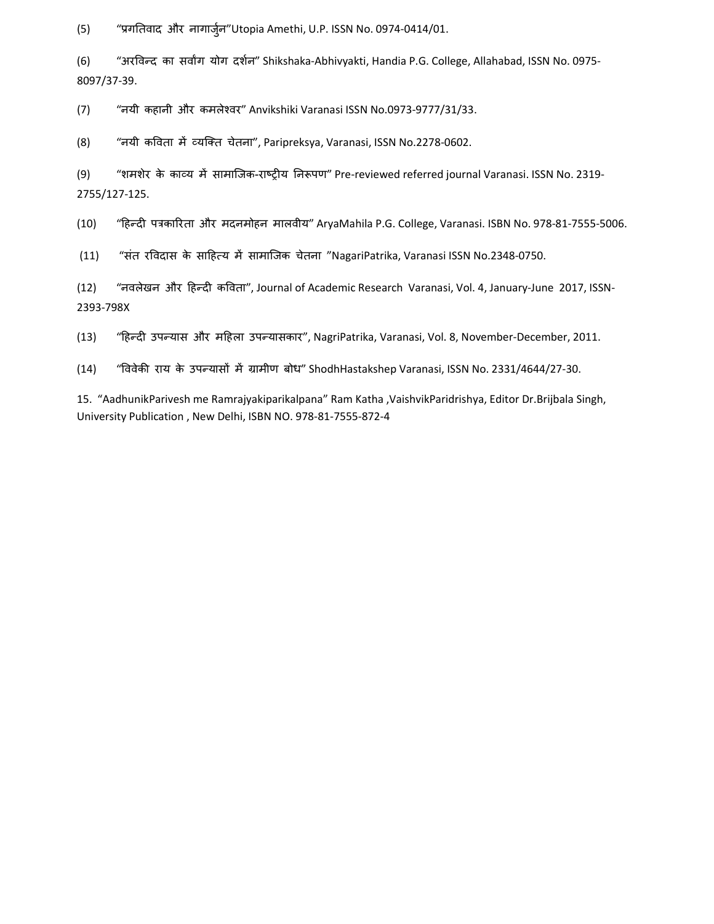(5) "प्रगतिवाद और नागार्जुन"Utopia Amethi, U.P. ISSN No. 0974-0414/01.

(6) "अरविन्द का सर्वांग योग दर्शन" Shikshaka-Abhivyakti, Handia P.G. College, Allahabad, ISSN No. 0975-8097/37-39.

(7) "नयी कहानी और कमले4वर" Anvikshiki Varanasi ISSN No.0973-9777/31/33.

(8) "नयी कविता में व्यक्ति चेतना", Paripreksya, Varanasi, ISSN No.2278-0602.

(9) "शमशेर के काव्य में सामाजिक-राष्ट्रीय निरूपण" Pre-reviewed referred journal Varanasi. ISSN No. 2319-2755/127-125.

 $(10)$ "हिन्दी पत्रकारिता और मदनमोहन मालवीय" AryaMahila P.G. College, Varanasi. ISBN No. 978-81-7555-5006.

(11) "संत रविदास के साहित्य में सामाजिक चेतना "NagariPatrika, Varanasi ISSN No.2348-0750.

(12) "नवलेखन और हिन्दी कविता", Journal of Academic Research Varanasi, Vol. 4, January-June 2017, ISSN-2393-798X

(13) "हिन्दी उपन्यास और महिला उपन्यासकार", NagriPatrika, Varanasi, Vol. 8, November-December, 2011.

(14) "विवेकी राय के उपन्यासों में ग्रामीण बोध" ShodhHastakshep Varanasi, ISSN No. 2331/4644/27-30.

15. "AadhunikParivesh me Ramrajyakiparikalpana" Ram Katha ,VaishvikParidrishya, Editor Dr.Brijbala Singh, University Publication , New Delhi, ISBN NO. 978-81-7555-872-4